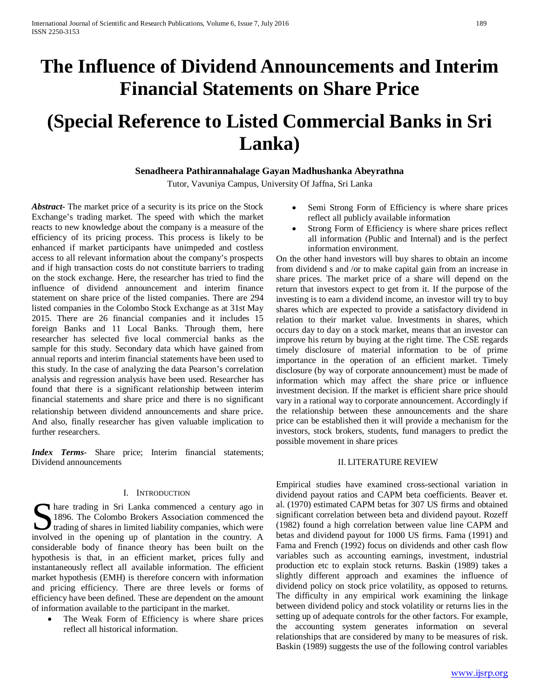# **The Influence of Dividend Announcements and Interim Financial Statements on Share Price**

# **(Special Reference to Listed Commercial Banks in Sri Lanka)**

## **Senadheera Pathirannahalage Gayan Madhushanka Abeyrathna**

Tutor, Vavuniya Campus, University Of Jaffna, Sri Lanka

*Abstract***-** The market price of a security is its price on the Stock Exchange's trading market. The speed with which the market reacts to new knowledge about the company is a measure of the efficiency of its pricing process. This process is likely to be enhanced if market participants have unimpeded and costless access to all relevant information about the company's prospects and if high transaction costs do not constitute barriers to trading on the stock exchange. Here, the researcher has tried to find the influence of dividend announcement and interim finance statement on share price of the listed companies. There are 294 listed companies in the Colombo Stock Exchange as at 31st May 2015. There are 26 financial companies and it includes 15 foreign Banks and 11 Local Banks. Through them, here researcher has selected five local commercial banks as the sample for this study. Secondary data which have gained from annual reports and interim financial statements have been used to this study. In the case of analyzing the data Pearson's correlation analysis and regression analysis have been used. Researcher has found that there is a significant relationship between interim financial statements and share price and there is no significant relationship between dividend announcements and share price. And also, finally researcher has given valuable implication to further researchers.

*Index Terms*- Share price; Interim financial statements; Dividend announcements

## I. INTRODUCTION

Solution are trading in Sri Lanka commenced a century ago in 1896. The Colombo Brokers Association commenced the trading of shares in limited liability companies, which were 1896. The Colombo Brokers Association commenced the trading of shares in limited liability companies, which were involved in the opening up of plantation in the country. A considerable body of finance theory has been built on the hypothesis is that, in an efficient market, prices fully and instantaneously reflect all available information. The efficient market hypothesis (EMH) is therefore concern with information and pricing efficiency. There are three levels or forms of efficiency have been defined. These are dependent on the amount of information available to the participant in the market.

The Weak Form of Efficiency is where share prices reflect all historical information.

- Semi Strong Form of Efficiency is where share prices reflect all publicly available information
- Strong Form of Efficiency is where share prices reflect all information (Public and Internal) and is the perfect information environment.

On the other hand investors will buy shares to obtain an income from dividend s and /or to make capital gain from an increase in share prices. The market price of a share will depend on the return that investors expect to get from it. If the purpose of the investing is to earn a dividend income, an investor will try to buy shares which are expected to provide a satisfactory dividend in relation to their market value. Investments in shares, which occurs day to day on a stock market, means that an investor can improve his return by buying at the right time. The CSE regards timely disclosure of material information to be of prime importance in the operation of an efficient market. Timely disclosure (by way of corporate announcement) must be made of information which may affect the share price or influence investment decision. If the market is efficient share price should vary in a rational way to corporate announcement. Accordingly if the relationship between these announcements and the share price can be established then it will provide a mechanism for the investors, stock brokers, students, fund managers to predict the possible movement in share prices

## II. LITERATURE REVIEW

Empirical studies have examined cross-sectional variation in dividend payout ratios and CAPM beta coefficients. Beaver et. al. (1970) estimated CAPM betas for 307 US firms and obtained significant correlation between beta and dividend payout. Rozeff (1982) found a high correlation between value line CAPM and betas and dividend payout for 1000 US firms. Fama (1991) and Fama and French (1992) focus on dividends and other cash flow variables such as accounting earnings, investment, industrial production etc to explain stock returns. Baskin (1989) takes a slightly different approach and examines the influence of dividend policy on stock price volatility, as opposed to returns. The difficulty in any empirical work examining the linkage between dividend policy and stock volatility or returns lies in the setting up of adequate controls for the other factors. For example, the accounting system generates information on several relationships that are considered by many to be measures of risk. Baskin (1989) suggests the use of the following control variables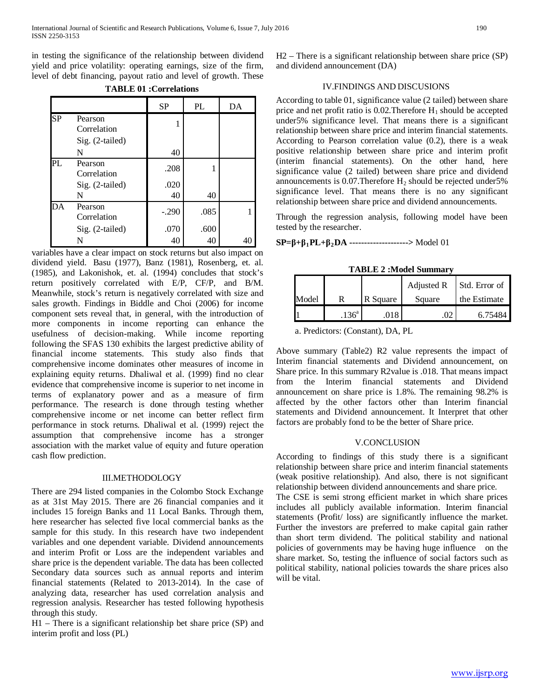in testing the significance of the relationship between dividend yield and price volatility: operating earnings, size of the firm, level of debt financing, payout ratio and level of growth. These

|    |                        | <b>SP</b>  | PL   | DA |
|----|------------------------|------------|------|----|
| SP | Pearson<br>Correlation |            |      |    |
|    | Sig. (2-tailed)<br>N   | 40         |      |    |
| PL | Pearson<br>Correlation | .208       |      |    |
|    | Sig. (2-tailed)<br>N   | .020<br>40 | 40   |    |
| DA | Pearson<br>Correlation | $-.290$    | .085 |    |
|    | Sig. (2-tailed)        | .070       | .600 |    |
|    | N                      | 40         | 40   |    |

**TABLE 01 :Correlations**

variables have a clear impact on stock returns but also impact on dividend yield. Basu (1977), Banz (1981), Rosenberg, et. al. (1985), and Lakonishok, et. al. (1994) concludes that stock's return positively correlated with E/P, CF/P, and B/M. Meanwhile, stock's return is negatively correlated with size and sales growth. Findings in Biddle and Choi (2006) for income component sets reveal that, in general, with the introduction of more components in income reporting can enhance the usefulness of decision-making. While income reporting following the SFAS 130 exhibits the largest predictive ability of financial income statements. This study also finds that comprehensive income dominates other measures of income in explaining equity returns. Dhaliwal et al. (1999) find no clear evidence that comprehensive income is superior to net income in terms of explanatory power and as a measure of firm performance. The research is done through testing whether comprehensive income or net income can better reflect firm performance in stock returns. Dhaliwal et al. (1999) reject the assumption that comprehensive income has a stronger association with the market value of equity and future operation cash flow prediction.

#### III.METHODOLOGY

There are 294 listed companies in the Colombo Stock Exchange as at 31st May 2015. There are 26 financial companies and it includes 15 foreign Banks and 11 Local Banks. Through them, here researcher has selected five local commercial banks as the sample for this study. In this research have two independent variables and one dependent variable. Dividend announcements and interim Profit or Loss are the independent variables and share price is the dependent variable. The data has been collected Secondary data sources such as annual reports and interim financial statements (Related to 2013-2014). In the case of analyzing data, researcher has used correlation analysis and regression analysis. Researcher has tested following hypothesis through this study.

H1 – There is a significant relationship bet share price (SP) and interim profit and loss (PL)

H2 – There is a significant relationship between share price (SP) and dividend announcement (DA)

### IV.FINDINGS AND DISCUSIONS

According to table 01, significance value (2 tailed) between share price and net profit ratio is  $0.02$ . Therefore  $H_1$  should be accepted under5% significance level. That means there is a significant relationship between share price and interim financial statements. According to Pearson correlation value (0.2), there is a weak positive relationship between share price and interim profit (interim financial statements). On the other hand, here significance value (2 tailed) between share price and dividend announcements is  $0.07$ . Therefore  $H_2$  should be rejected under 5% significance level. That means there is no any significant relationship between share price and dividend announcements.

Through the regression analysis, following model have been tested by the researcher.

## **SP=β+β1PL+β2DA -------------------->** Model 01

**TABLE 2 :Model Summary**

|       |                   |          | Adjusted R | Std. Error of |
|-------|-------------------|----------|------------|---------------|
| Model |                   | R Square | Square     | the Estimate  |
|       | .136 <sup>a</sup> | 018      |            | 6.75484       |

a. Predictors: (Constant), DA, PL

Above summary (Table2) R2 value represents the impact of Interim financial statements and Dividend announcement, on Share price. In this summary R2value is .018. That means impact from the Interim financial statements and Dividend announcement on share price is 1.8%. The remaining 98.2% is affected by the other factors other than Interim financial statements and Dividend announcement. It Interpret that other factors are probably fond to be the better of Share price.

#### V.CONCLUSION

According to findings of this study there is a significant relationship between share price and interim financial statements (weak positive relationship). And also, there is not significant relationship between dividend announcements and share price.

The CSE is semi strong efficient market in which share prices includes all publicly available information. Interim financial statements (Profit/ loss) are significantly influence the market. Further the investors are preferred to make capital gain rather than short term dividend. The political stability and national policies of governments may be having huge influence on the share market. So, testing the influence of social factors such as political stability, national policies towards the share prices also will be vital.